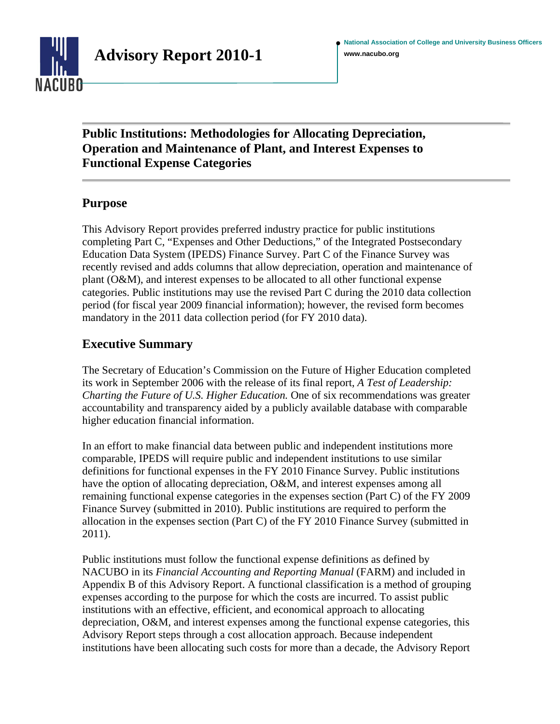

# **Public Institutions: Methodologies for Allocating Depreciation, Operation and Maintenance of Plant, and Interest Expenses to Functional Expense Categories**

## **Purpose**

This Advisory Report provides preferred industry practice for public institutions completing Part C, "Expenses and Other Deductions," of the Integrated Postsecondary Education Data System (IPEDS) Finance Survey. Part C of the Finance Survey was recently revised and adds columns that allow depreciation, operation and maintenance of plant (O&M), and interest expenses to be allocated to all other functional expense categories. Public institutions may use the revised Part C during the 2010 data collection period (for fiscal year 2009 financial information); however, the revised form becomes mandatory in the 2011 data collection period (for FY 2010 data).

## **Executive Summary**

The Secretary of Education's Commission on the Future of Higher Education completed its work in September 2006 with the release of its final report, *A Test of Leadership: Charting the Future of U.S. Higher Education.* One of six recommendations was greater accountability and transparency aided by a publicly available database with comparable higher education financial information.

In an effort to make financial data between public and independent institutions more comparable, IPEDS will require public and independent institutions to use similar definitions for functional expenses in the FY 2010 Finance Survey. Public institutions have the option of allocating depreciation, O&M, and interest expenses among all remaining functional expense categories in the expenses section (Part C) of the FY 2009 Finance Survey (submitted in 2010). Public institutions are required to perform the allocation in the expenses section (Part C) of the FY 2010 Finance Survey (submitted in 2011).

Public institutions must follow the functional expense definitions as defined by NACUBO in its *Financial Accounting and Reporting Manual* (FARM) and included in Appendix B of this Advisory Report. A functional classification is a method of grouping expenses according to the purpose for which the costs are incurred. To assist public institutions with an effective, efficient, and economical approach to allocating depreciation, O&M, and interest expenses among the functional expense categories, this Advisory Report steps through a cost allocation approach. Because independent institutions have been allocating such costs for more than a decade, the Advisory Report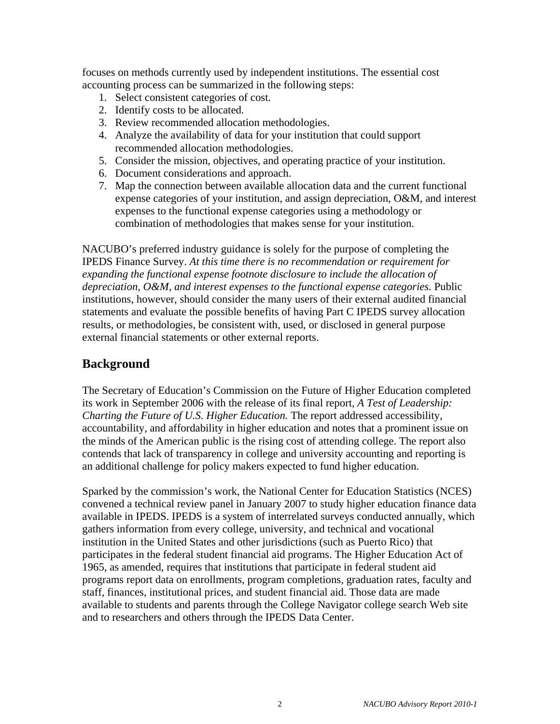focuses on methods currently used by independent institutions. The essential cost accounting process can be summarized in the following steps:

- 1. Select consistent categories of cost.
- 2. Identify costs to be allocated.
- 3. Review recommended allocation methodologies.
- 4. Analyze the availability of data for your institution that could support recommended allocation methodologies.
- 5. Consider the mission, objectives, and operating practice of your institution.
- 6. Document considerations and approach.
- 7. Map the connection between available allocation data and the current functional expense categories of your institution, and assign depreciation, O&M, and interest expenses to the functional expense categories using a methodology or combination of methodologies that makes sense for your institution.

NACUBO's preferred industry guidance is solely for the purpose of completing the IPEDS Finance Survey. *At this time there is no recommendation or requirement for expanding the functional expense footnote disclosure to include the allocation of depreciation, O&M, and interest expenses to the functional expense categories.* Public institutions, however, should consider the many users of their external audited financial statements and evaluate the possible benefits of having Part C IPEDS survey allocation results, or methodologies, be consistent with, used, or disclosed in general purpose external financial statements or other external reports.

## **Background**

The Secretary of Education's Commission on the Future of Higher Education completed its work in September 2006 with the release of its final report, *A Test of Leadership: Charting the Future of U.S. Higher Education.* The report addressed accessibility, accountability, and affordability in higher education and notes that a prominent issue on the minds of the American public is the rising cost of attending college. The report also contends that lack of transparency in college and university accounting and reporting is an additional challenge for policy makers expected to fund higher education.

Sparked by the commission's work, the National Center for Education Statistics (NCES) convened a technical review panel in January 2007 to study higher education finance data available in IPEDS. IPEDS is a system of interrelated surveys conducted annually, which gathers information from every college, university, and technical and vocational institution in the United States and other jurisdictions (such as Puerto Rico) that participates in the federal student financial aid programs. The Higher Education Act of 1965, as amended, requires that institutions that participate in federal student aid programs report data on enrollments, program completions, graduation rates, faculty and staff, finances, institutional prices, and student financial aid. Those data are made available to students and parents through the College Navigator college search Web site and to researchers and others through the IPEDS Data Center.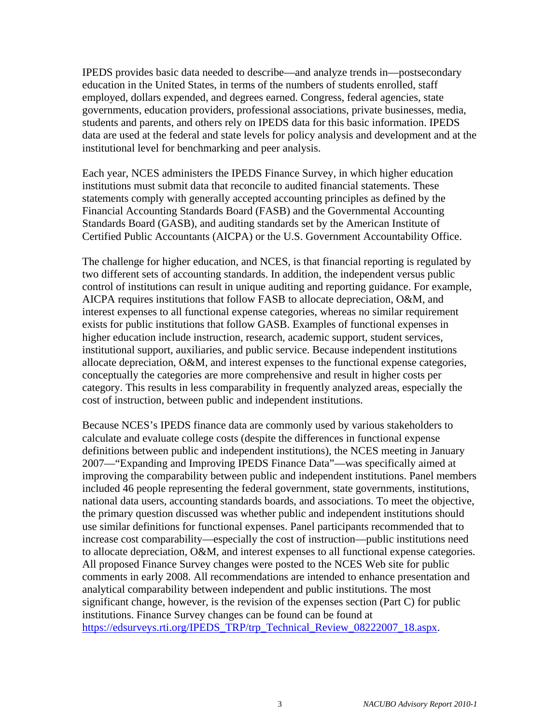IPEDS provides basic data needed to describe—and analyze trends in—postsecondary education in the United States, in terms of the numbers of students enrolled, staff employed, dollars expended, and degrees earned. Congress, federal agencies, state governments, education providers, professional associations, private businesses, media, students and parents, and others rely on IPEDS data for this basic information. IPEDS data are used at the federal and state levels for policy analysis and development and at the institutional level for benchmarking and peer analysis.

Each year, NCES administers the IPEDS Finance Survey, in which higher education institutions must submit data that reconcile to audited financial statements. These statements comply with generally accepted accounting principles as defined by the Financial Accounting Standards Board (FASB) and the Governmental Accounting Standards Board (GASB), and auditing standards set by the American Institute of Certified Public Accountants (AICPA) or the U.S. Government Accountability Office.

The challenge for higher education, and NCES, is that financial reporting is regulated by two different sets of accounting standards. In addition, the independent versus public control of institutions can result in unique auditing and reporting guidance. For example, AICPA requires institutions that follow FASB to allocate depreciation, O&M, and interest expenses to all functional expense categories, whereas no similar requirement exists for public institutions that follow GASB. Examples of functional expenses in higher education include instruction, research, academic support, student services, institutional support, auxiliaries, and public service. Because independent institutions allocate depreciation, O&M, and interest expenses to the functional expense categories, conceptually the categories are more comprehensive and result in higher costs per category. This results in less comparability in frequently analyzed areas, especially the cost of instruction, between public and independent institutions.

Because NCES's IPEDS finance data are commonly used by various stakeholders to calculate and evaluate college costs (despite the differences in functional expense definitions between public and independent institutions), the NCES meeting in January 2007—"Expanding and Improving IPEDS Finance Data"—was specifically aimed at improving the comparability between public and independent institutions. Panel members included 46 people representing the federal government, state governments, institutions, national data users, accounting standards boards, and associations. To meet the objective, the primary question discussed was whether public and independent institutions should use similar definitions for functional expenses. Panel participants recommended that to increase cost comparability—especially the cost of instruction—public institutions need to allocate depreciation, O&M, and interest expenses to all functional expense categories. All proposed Finance Survey changes were posted to the NCES Web site for public comments in early 2008. All recommendations are intended to enhance presentation and analytical comparability between independent and public institutions. The most significant change, however, is the revision of the expenses section (Part C) for public institutions. Finance Survey changes can be found can be found at [https://edsurveys.rti.org/IPEDS\\_TRP/trp\\_Technical\\_Review\\_08222007\\_18.aspx](https://edsurveys.rti.org/IPEDS_TRP/trp_Technical_Review_08222007_18.aspx).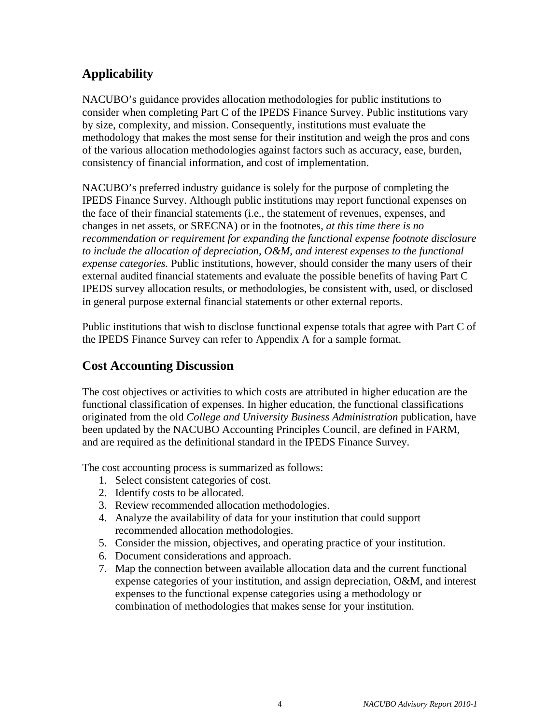# **Applicability**

NACUBO's guidance provides allocation methodologies for public institutions to consider when completing Part C of the IPEDS Finance Survey. Public institutions vary by size, complexity, and mission. Consequently, institutions must evaluate the methodology that makes the most sense for their institution and weigh the pros and cons of the various allocation methodologies against factors such as accuracy, ease, burden, consistency of financial information, and cost of implementation.

NACUBO's preferred industry guidance is solely for the purpose of completing the IPEDS Finance Survey. Although public institutions may report functional expenses on the face of their financial statements (i.e., the statement of revenues, expenses, and changes in net assets, or SRECNA) or in the footnotes, *at this time there is no recommendation or requirement for expanding the functional expense footnote disclosure to include the allocation of depreciation, O&M, and interest expenses to the functional expense categories.* Public institutions, however, should consider the many users of their external audited financial statements and evaluate the possible benefits of having Part C IPEDS survey allocation results, or methodologies, be consistent with, used, or disclosed in general purpose external financial statements or other external reports.

Public institutions that wish to disclose functional expense totals that agree with Part C of the IPEDS Finance Survey can refer to Appendix A for a sample format.

# **Cost Accounting Discussion**

The cost objectives or activities to which costs are attributed in higher education are the functional classification of expenses. In higher education, the functional classifications originated from the old *College and University Business Administration* publication, have been updated by the NACUBO Accounting Principles Council, are defined in FARM, and are required as the definitional standard in the IPEDS Finance Survey.

The cost accounting process is summarized as follows:

- 1. Select consistent categories of cost.
- 2. Identify costs to be allocated.
- 3. Review recommended allocation methodologies.
- 4. Analyze the availability of data for your institution that could support recommended allocation methodologies.
- 5. Consider the mission, objectives, and operating practice of your institution.
- 6. Document considerations and approach.
- 7. Map the connection between available allocation data and the current functional expense categories of your institution, and assign depreciation, O&M, and interest expenses to the functional expense categories using a methodology or combination of methodologies that makes sense for your institution.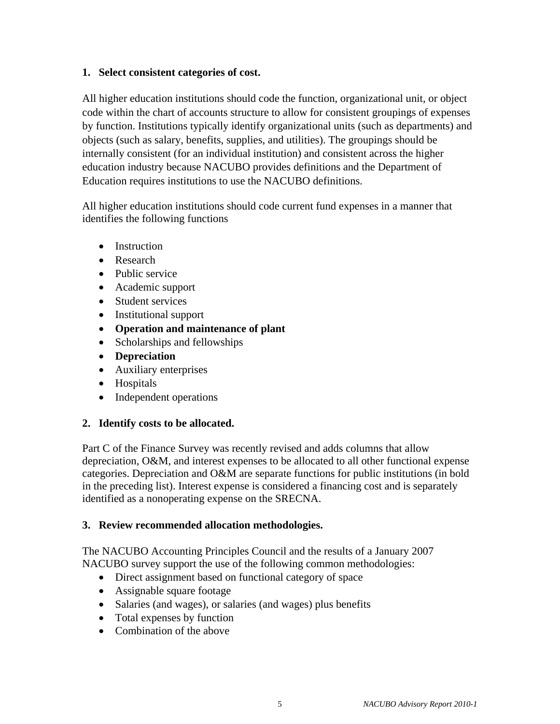#### **1. Select consistent categories of cost.**

All higher education institutions should code the function, organizational unit, or object code within the chart of accounts structure to allow for consistent groupings of expenses by function. Institutions typically identify organizational units (such as departments) and objects (such as salary, benefits, supplies, and utilities). The groupings should be internally consistent (for an individual institution) and consistent across the higher education industry because NACUBO provides definitions and the Department of Education requires institutions to use the NACUBO definitions.

All higher education institutions should code current fund expenses in a manner that identifies the following functions

- Instruction
- Research
- Public service
- Academic support
- Student services
- Institutional support
- **Operation and maintenance of plant**
- Scholarships and fellowships
- **Depreciation**
- Auxiliary enterprises
- Hospitals
- Independent operations

#### **2. Identify costs to be allocated.**

Part C of the Finance Survey was recently revised and adds columns that allow depreciation, O&M, and interest expenses to be allocated to all other functional expense categories. Depreciation and O&M are separate functions for public institutions (in bold in the preceding list). Interest expense is considered a financing cost and is separately identified as a nonoperating expense on the SRECNA.

#### **3. Review recommended allocation methodologies.**

The NACUBO Accounting Principles Council and the results of a January 2007 NACUBO survey support the use of the following common methodologies:

- Direct assignment based on functional category of space
- Assignable square footage
- Salaries (and wages), or salaries (and wages) plus benefits
- Total expenses by function
- Combination of the above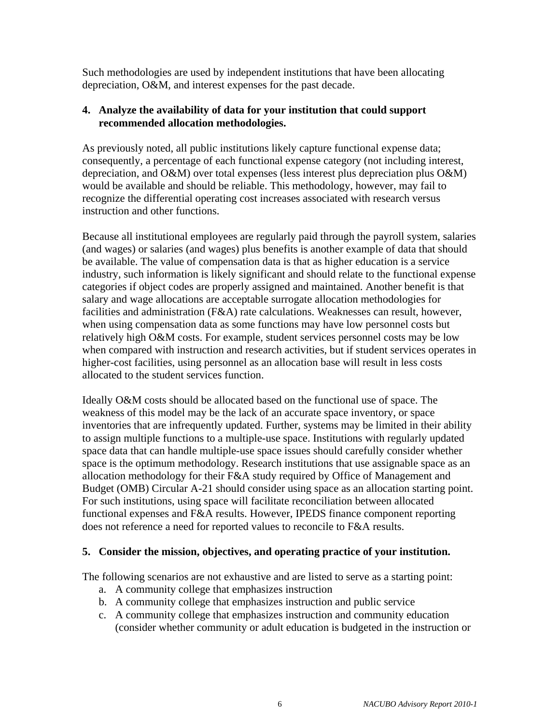Such methodologies are used by independent institutions that have been allocating depreciation, O&M, and interest expenses for the past decade.

#### **4. Analyze the availability of data for your institution that could support recommended allocation methodologies.**

As previously noted, all public institutions likely capture functional expense data; consequently, a percentage of each functional expense category (not including interest, depreciation, and O&M) over total expenses (less interest plus depreciation plus O&M) would be available and should be reliable. This methodology, however, may fail to recognize the differential operating cost increases associated with research versus instruction and other functions.

Because all institutional employees are regularly paid through the payroll system, salaries (and wages) or salaries (and wages) plus benefits is another example of data that should be available. The value of compensation data is that as higher education is a service industry, such information is likely significant and should relate to the functional expense categories if object codes are properly assigned and maintained. Another benefit is that salary and wage allocations are acceptable surrogate allocation methodologies for facilities and administration (F&A) rate calculations. Weaknesses can result, however, when using compensation data as some functions may have low personnel costs but relatively high O&M costs. For example, student services personnel costs may be low when compared with instruction and research activities, but if student services operates in higher-cost facilities, using personnel as an allocation base will result in less costs allocated to the student services function.

Ideally O&M costs should be allocated based on the functional use of space. The weakness of this model may be the lack of an accurate space inventory, or space inventories that are infrequently updated. Further, systems may be limited in their ability to assign multiple functions to a multiple-use space. Institutions with regularly updated space data that can handle multiple-use space issues should carefully consider whether space is the optimum methodology. Research institutions that use assignable space as an allocation methodology for their F&A study required by Office of Management and Budget (OMB) Circular A-21 should consider using space as an allocation starting point. For such institutions, using space will facilitate reconciliation between allocated functional expenses and F&A results. However, IPEDS finance component reporting does not reference a need for reported values to reconcile to F&A results.

#### **5. Consider the mission, objectives, and operating practice of your institution.**

The following scenarios are not exhaustive and are listed to serve as a starting point:

- a. A community college that emphasizes instruction
- b. A community college that emphasizes instruction and public service
- c. A community college that emphasizes instruction and community education (consider whether community or adult education is budgeted in the instruction or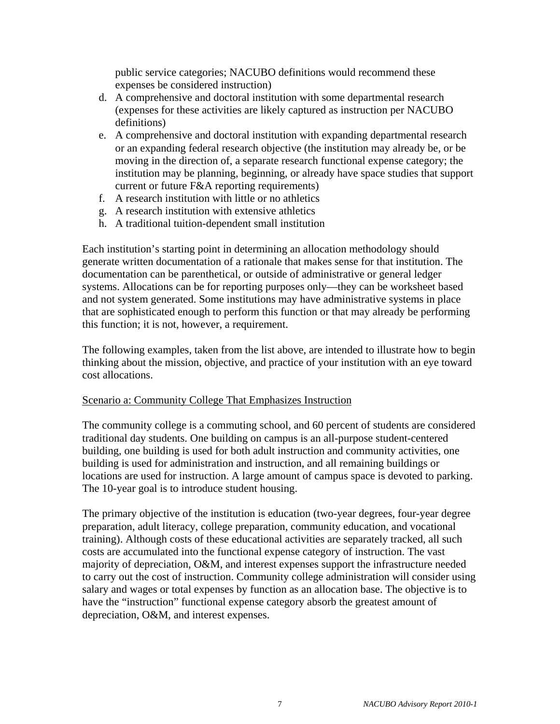public service categories; NACUBO definitions would recommend these expenses be considered instruction)

- d. A comprehensive and doctoral institution with some departmental research (expenses for these activities are likely captured as instruction per NACUBO definitions)
- e. A comprehensive and doctoral institution with expanding departmental research or an expanding federal research objective (the institution may already be, or be moving in the direction of, a separate research functional expense category; the institution may be planning, beginning, or already have space studies that support current or future F&A reporting requirements)
- f. A research institution with little or no athletics
- g. A research institution with extensive athletics
- h. A traditional tuition-dependent small institution

Each institution's starting point in determining an allocation methodology should generate written documentation of a rationale that makes sense for that institution. The documentation can be parenthetical, or outside of administrative or general ledger systems. Allocations can be for reporting purposes only—they can be worksheet based and not system generated. Some institutions may have administrative systems in place that are sophisticated enough to perform this function or that may already be performing this function; it is not, however, a requirement.

The following examples, taken from the list above, are intended to illustrate how to begin thinking about the mission, objective, and practice of your institution with an eye toward cost allocations.

#### Scenario a: Community College That Emphasizes Instruction

The community college is a commuting school, and 60 percent of students are considered traditional day students. One building on campus is an all-purpose student-centered building, one building is used for both adult instruction and community activities, one building is used for administration and instruction, and all remaining buildings or locations are used for instruction. A large amount of campus space is devoted to parking. The 10-year goal is to introduce student housing.

The primary objective of the institution is education (two-year degrees, four-year degree preparation, adult literacy, college preparation, community education, and vocational training). Although costs of these educational activities are separately tracked, all such costs are accumulated into the functional expense category of instruction. The vast majority of depreciation, O&M, and interest expenses support the infrastructure needed to carry out the cost of instruction. Community college administration will consider using salary and wages or total expenses by function as an allocation base. The objective is to have the "instruction" functional expense category absorb the greatest amount of depreciation, O&M, and interest expenses.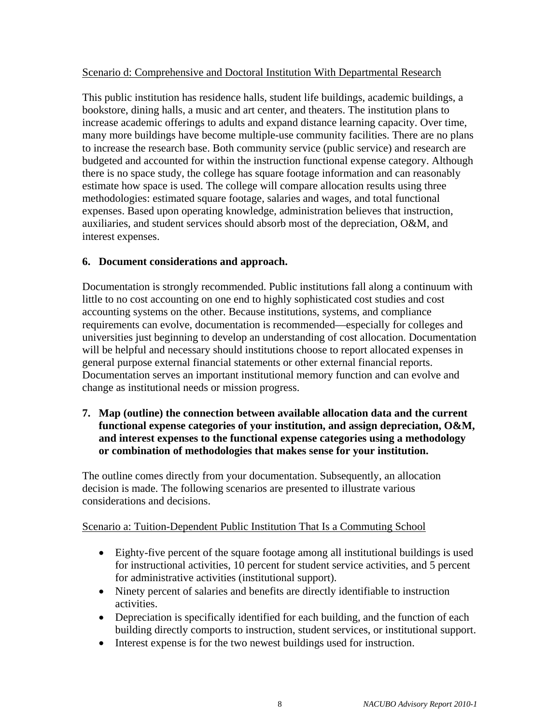#### Scenario d: Comprehensive and Doctoral Institution With Departmental Research

This public institution has residence halls, student life buildings, academic buildings, a bookstore, dining halls, a music and art center, and theaters. The institution plans to increase academic offerings to adults and expand distance learning capacity. Over time, many more buildings have become multiple-use community facilities. There are no plans to increase the research base. Both community service (public service) and research are budgeted and accounted for within the instruction functional expense category. Although there is no space study, the college has square footage information and can reasonably estimate how space is used. The college will compare allocation results using three methodologies: estimated square footage, salaries and wages, and total functional expenses. Based upon operating knowledge, administration believes that instruction, auxiliaries, and student services should absorb most of the depreciation, O&M, and interest expenses.

#### **6. Document considerations and approach.**

Documentation is strongly recommended. Public institutions fall along a continuum with little to no cost accounting on one end to highly sophisticated cost studies and cost accounting systems on the other. Because institutions, systems, and compliance requirements can evolve, documentation is recommended—especially for colleges and universities just beginning to develop an understanding of cost allocation. Documentation will be helpful and necessary should institutions choose to report allocated expenses in general purpose external financial statements or other external financial reports. Documentation serves an important institutional memory function and can evolve and change as institutional needs or mission progress.

**7. Map (outline) the connection between available allocation data and the current functional expense categories of your institution, and assign depreciation, O&M, and interest expenses to the functional expense categories using a methodology or combination of methodologies that makes sense for your institution.** 

The outline comes directly from your documentation. Subsequently, an allocation decision is made. The following scenarios are presented to illustrate various considerations and decisions.

#### Scenario a: Tuition-Dependent Public Institution That Is a Commuting School

- Eighty-five percent of the square footage among all institutional buildings is used for instructional activities, 10 percent for student service activities, and 5 percent for administrative activities (institutional support).
- Ninety percent of salaries and benefits are directly identifiable to instruction activities.
- Depreciation is specifically identified for each building, and the function of each building directly comports to instruction, student services, or institutional support.
- Interest expense is for the two newest buildings used for instruction.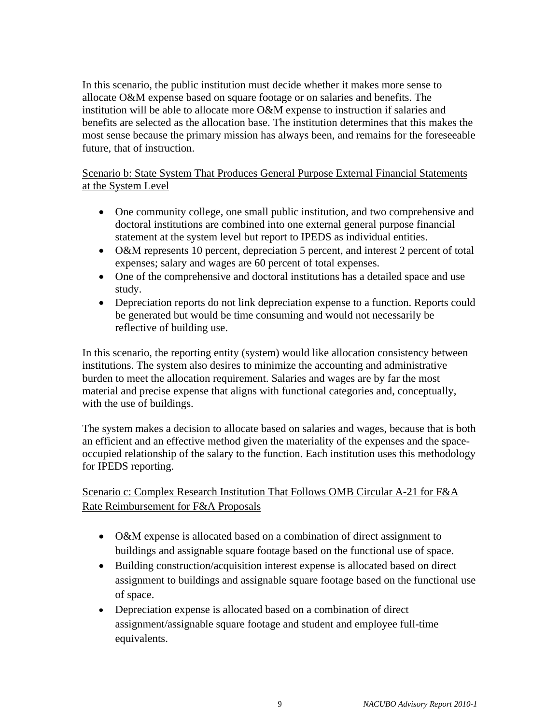In this scenario, the public institution must decide whether it makes more sense to allocate O&M expense based on square footage or on salaries and benefits. The institution will be able to allocate more O&M expense to instruction if salaries and benefits are selected as the allocation base. The institution determines that this makes the most sense because the primary mission has always been, and remains for the foreseeable future, that of instruction.

Scenario b: State System That Produces General Purpose External Financial Statements at the System Level

- One community college, one small public institution, and two comprehensive and doctoral institutions are combined into one external general purpose financial statement at the system level but report to IPEDS as individual entities.
- O&M represents 10 percent, depreciation 5 percent, and interest 2 percent of total expenses; salary and wages are 60 percent of total expenses.
- One of the comprehensive and doctoral institutions has a detailed space and use study.
- Depreciation reports do not link depreciation expense to a function. Reports could be generated but would be time consuming and would not necessarily be reflective of building use.

In this scenario, the reporting entity (system) would like allocation consistency between institutions. The system also desires to minimize the accounting and administrative burden to meet the allocation requirement. Salaries and wages are by far the most material and precise expense that aligns with functional categories and, conceptually, with the use of buildings.

The system makes a decision to allocate based on salaries and wages, because that is both an efficient and an effective method given the materiality of the expenses and the spaceoccupied relationship of the salary to the function. Each institution uses this methodology for IPEDS reporting.

Scenario c: Complex Research Institution That Follows OMB Circular A-21 for F&A Rate Reimbursement for F&A Proposals

- O&M expense is allocated based on a combination of direct assignment to buildings and assignable square footage based on the functional use of space.
- Building construction/acquisition interest expense is allocated based on direct assignment to buildings and assignable square footage based on the functional use of space.
- Depreciation expense is allocated based on a combination of direct assignment/assignable square footage and student and employee full-time equivalents.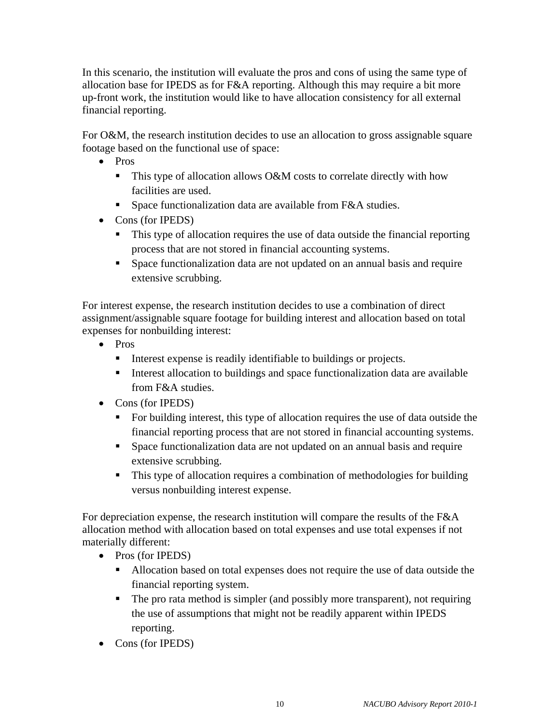In this scenario, the institution will evaluate the pros and cons of using the same type of allocation base for IPEDS as for F&A reporting. Although this may require a bit more up-front work, the institution would like to have allocation consistency for all external financial reporting.

For O&M, the research institution decides to use an allocation to gross assignable square footage based on the functional use of space:

- Pros
	- $\blacksquare$  This type of allocation allows O&M costs to correlate directly with how facilities are used.
	- Space functionalization data are available from F&A studies.
- Cons (for IPEDS)
	- This type of allocation requires the use of data outside the financial reporting process that are not stored in financial accounting systems.
	- **Space functionalization data are not updated on an annual basis and require** extensive scrubbing.

For interest expense, the research institution decides to use a combination of direct assignment/assignable square footage for building interest and allocation based on total expenses for nonbuilding interest:

- Pros
	- Interest expense is readily identifiable to buildings or projects.
	- Interest allocation to buildings and space functionalization data are available from F&A studies.
- Cons (for IPEDS)
	- For building interest, this type of allocation requires the use of data outside the financial reporting process that are not stored in financial accounting systems.
	- Space functionalization data are not updated on an annual basis and require extensive scrubbing.
	- This type of allocation requires a combination of methodologies for building versus nonbuilding interest expense.

For depreciation expense, the research institution will compare the results of the F&A allocation method with allocation based on total expenses and use total expenses if not materially different:

- Pros (for IPEDS)
	- Allocation based on total expenses does not require the use of data outside the financial reporting system.
	- The pro rata method is simpler (and possibly more transparent), not requiring the use of assumptions that might not be readily apparent within IPEDS reporting.
- Cons (for IPEDS)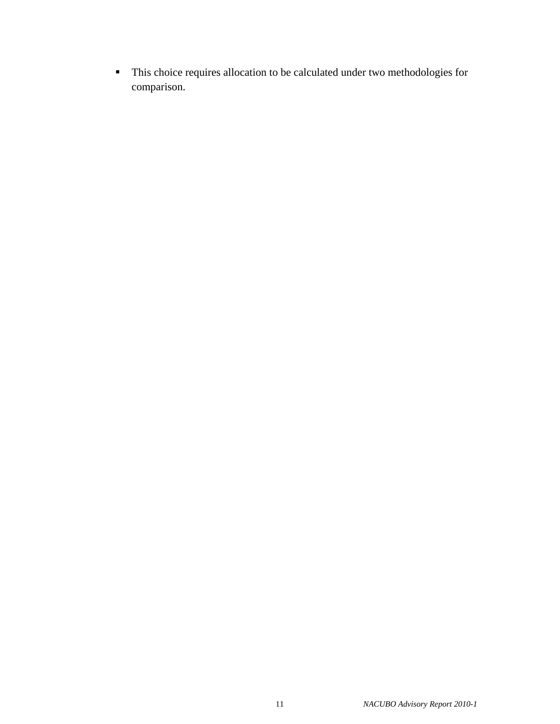This choice requires allocation to be calculated under two methodologies for comparison.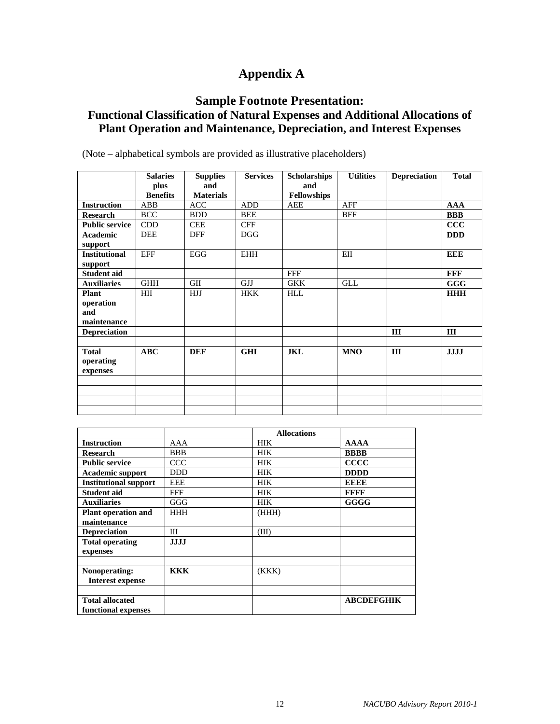# **Appendix A**

## **Sample Footnote Presentation:**

## **Functional Classification of Natural Expenses and Additional Allocations of Plant Operation and Maintenance, Depreciation, and Interest Expenses**

|                                                 | <b>Salaries</b>         | <b>Supplies</b>         | <b>Services</b> | <b>Scholarships</b>       | <b>Utilities</b> | <b>Depreciation</b> | <b>Total</b> |
|-------------------------------------------------|-------------------------|-------------------------|-----------------|---------------------------|------------------|---------------------|--------------|
|                                                 | plus<br><b>Benefits</b> | and<br><b>Materials</b> |                 | and<br><b>Fellowships</b> |                  |                     |              |
| <b>Instruction</b>                              | ABB                     | <b>ACC</b>              | <b>ADD</b>      | <b>AEE</b>                | AFF              |                     | <b>AAA</b>   |
| <b>Research</b>                                 | <b>BCC</b>              | <b>BDD</b>              | <b>BEE</b>      |                           | <b>BFF</b>       |                     | <b>BBB</b>   |
| <b>Public service</b>                           | <b>CDD</b>              | <b>CEE</b>              | <b>CFF</b>      |                           |                  |                     | $\bf{CCC}$   |
| <b>Academic</b>                                 | <b>DEE</b>              | <b>DFF</b>              | <b>DGG</b>      |                           |                  |                     | <b>DDD</b>   |
| support<br><b>Institutional</b><br>support      | <b>EFF</b>              | <b>EGG</b>              | <b>EHH</b>      |                           | EII              |                     | <b>EEE</b>   |
| <b>Student aid</b>                              |                         |                         |                 | <b>FFF</b>                |                  |                     | <b>FFF</b>   |
| <b>Auxiliaries</b>                              | <b>GHH</b>              | <b>GII</b>              | <b>GJJ</b>      | <b>GKK</b>                | <b>GLL</b>       |                     | <b>GGG</b>   |
| <b>Plant</b><br>operation<br>and<br>maintenance | HII                     | <b>HJJ</b>              | <b>HKK</b>      | <b>HLL</b>                |                  |                     | <b>HHH</b>   |
| <b>Depreciation</b>                             |                         |                         |                 |                           |                  | III                 | III          |
|                                                 |                         |                         |                 |                           |                  |                     |              |
| <b>Total</b><br>operating<br>expenses           | <b>ABC</b>              | <b>DEF</b>              | <b>GHI</b>      | <b>JKL</b>                | <b>MNO</b>       | III                 | <b>JJJJ</b>  |
|                                                 |                         |                         |                 |                           |                  |                     |              |
|                                                 |                         |                         |                 |                           |                  |                     |              |
|                                                 |                         |                         |                 |                           |                  |                     |              |
|                                                 |                         |                         |                 |                           |                  |                     |              |

(Note – alphabetical symbols are provided as illustrative placeholders)

|                              |             | <b>Allocations</b> |                   |
|------------------------------|-------------|--------------------|-------------------|
| <b>Instruction</b>           | AAA         | <b>HIK</b>         | <b>AAAA</b>       |
| <b>Research</b>              | <b>BBB</b>  | <b>HIK</b>         | <b>BBBB</b>       |
| <b>Public service</b>        | <b>CCC</b>  | <b>HIK</b>         | <b>CCCC</b>       |
| <b>Academic support</b>      | <b>DDD</b>  | <b>HIK</b>         | <b>DDDD</b>       |
| <b>Institutional support</b> | <b>EEE</b>  | <b>HIK</b>         | <b>EEEE</b>       |
| <b>Student aid</b>           | <b>FFF</b>  | <b>HIK</b>         | <b>FFFF</b>       |
| <b>Auxiliaries</b>           | GGG         | <b>HIK</b>         | <b>GGGG</b>       |
| <b>Plant operation and</b>   | <b>HHH</b>  | (HHH)              |                   |
| maintenance                  |             |                    |                   |
| <b>Depreciation</b>          | Ш           | (III)              |                   |
| <b>Total operating</b>       | <b>JJJJ</b> |                    |                   |
| expenses                     |             |                    |                   |
|                              |             |                    |                   |
| Nonoperating:                | <b>KKK</b>  | (KKK)              |                   |
| <b>Interest expense</b>      |             |                    |                   |
|                              |             |                    |                   |
| <b>Total allocated</b>       |             |                    | <b>ABCDEFGHIK</b> |
| functional expenses          |             |                    |                   |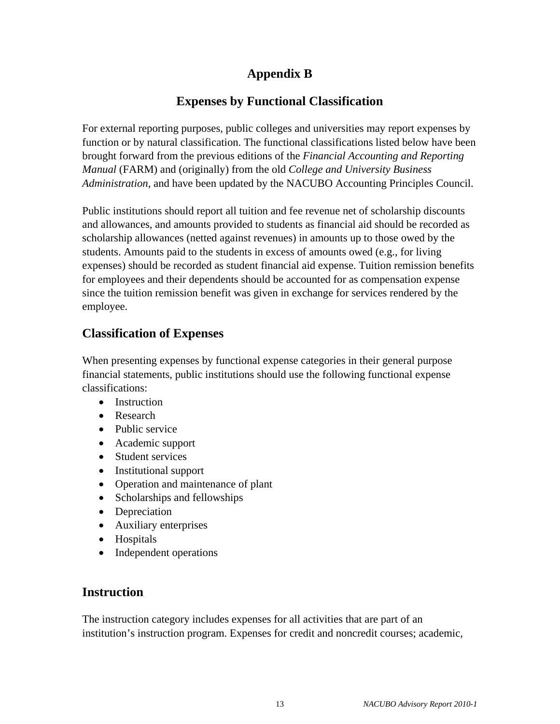# **Appendix B**

## **Expenses by Functional Classification**

For external reporting purposes, public colleges and universities may report expenses by function or by natural classification. The functional classifications listed below have been brought forward from the previous editions of the *Financial Accounting and Reporting Manual* (FARM) and (originally) from the old *College and University Business Administration*, and have been updated by the NACUBO Accounting Principles Council.

Public institutions should report all tuition and fee revenue net of scholarship discounts and allowances, and amounts provided to students as financial aid should be recorded as scholarship allowances (netted against revenues) in amounts up to those owed by the students. Amounts paid to the students in excess of amounts owed (e.g., for living expenses) should be recorded as student financial aid expense. Tuition remission benefits for employees and their dependents should be accounted for as compensation expense since the tuition remission benefit was given in exchange for services rendered by the employee.

## **Classification of Expenses**

When presenting expenses by functional expense categories in their general purpose financial statements, public institutions should use the following functional expense classifications:

- Instruction
- Research
- Public service
- Academic support
- Student services
- Institutional support
- Operation and maintenance of plant
- Scholarships and fellowships
- Depreciation
- Auxiliary enterprises
- Hospitals
- Independent operations

## **Instruction**

The instruction category includes expenses for all activities that are part of an institution's instruction program. Expenses for credit and noncredit courses; academic,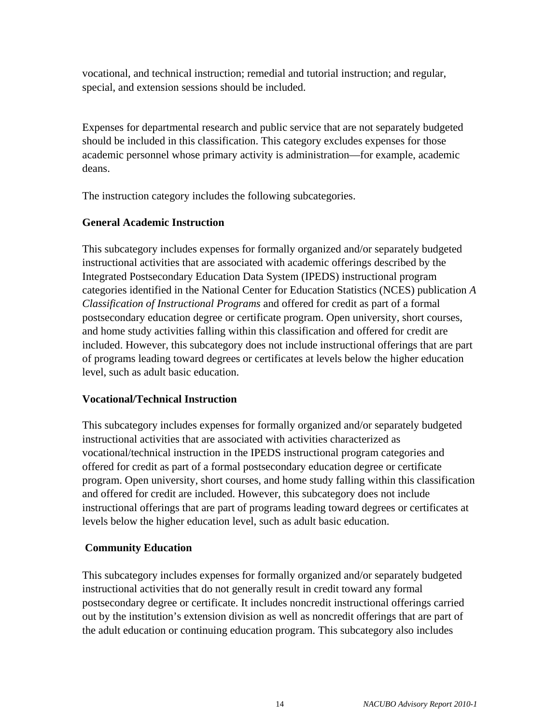vocational, and technical instruction; remedial and tutorial instruction; and regular, special, and extension sessions should be included.

Expenses for departmental research and public service that are not separately budgeted should be included in this classification. This category excludes expenses for those academic personnel whose primary activity is administration—for example, academic deans.

The instruction category includes the following subcategories.

#### **General Academic Instruction**

This subcategory includes expenses for formally organized and/or separately budgeted instructional activities that are associated with academic offerings described by the Integrated Postsecondary Education Data System (IPEDS) instructional program categories identified in the National Center for Education Statistics (NCES) publication *A Classification of Instructional Programs* and offered for credit as part of a formal postsecondary education degree or certificate program. Open university, short courses, and home study activities falling within this classification and offered for credit are included. However, this subcategory does not include instructional offerings that are part of programs leading toward degrees or certificates at levels below the higher education level, such as adult basic education.

#### **Vocational/Technical Instruction**

This subcategory includes expenses for formally organized and/or separately budgeted instructional activities that are associated with activities characterized as vocational/technical instruction in the IPEDS instructional program categories and offered for credit as part of a formal postsecondary education degree or certificate program. Open university, short courses, and home study falling within this classification and offered for credit are included. However, this subcategory does not include instructional offerings that are part of programs leading toward degrees or certificates at levels below the higher education level, such as adult basic education.

## **Community Education**

This subcategory includes expenses for formally organized and/or separately budgeted instructional activities that do not generally result in credit toward any formal postsecondary degree or certificate. It includes noncredit instructional offerings carried out by the institution's extension division as well as noncredit offerings that are part of the adult education or continuing education program. This subcategory also includes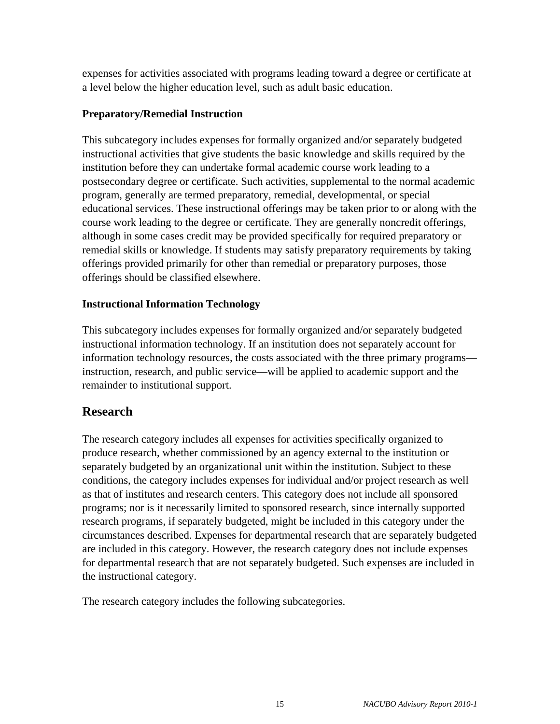expenses for activities associated with programs leading toward a degree or certificate at a level below the higher education level, such as adult basic education.

#### **Preparatory/Remedial Instruction**

This subcategory includes expenses for formally organized and/or separately budgeted instructional activities that give students the basic knowledge and skills required by the institution before they can undertake formal academic course work leading to a postsecondary degree or certificate. Such activities, supplemental to the normal academic program, generally are termed preparatory, remedial, developmental, or special educational services. These instructional offerings may be taken prior to or along with the course work leading to the degree or certificate. They are generally noncredit offerings, although in some cases credit may be provided specifically for required preparatory or remedial skills or knowledge. If students may satisfy preparatory requirements by taking offerings provided primarily for other than remedial or preparatory purposes, those offerings should be classified elsewhere.

#### **Instructional Information Technology**

This subcategory includes expenses for formally organized and/or separately budgeted instructional information technology. If an institution does not separately account for information technology resources, the costs associated with the three primary programs instruction, research, and public service—will be applied to academic support and the remainder to institutional support.

## **Research**

The research category includes all expenses for activities specifically organized to produce research, whether commissioned by an agency external to the institution or separately budgeted by an organizational unit within the institution. Subject to these conditions, the category includes expenses for individual and/or project research as well as that of institutes and research centers. This category does not include all sponsored programs; nor is it necessarily limited to sponsored research, since internally supported research programs, if separately budgeted, might be included in this category under the circumstances described. Expenses for departmental research that are separately budgeted are included in this category. However, the research category does not include expenses for departmental research that are not separately budgeted. Such expenses are included in the instructional category.

The research category includes the following subcategories.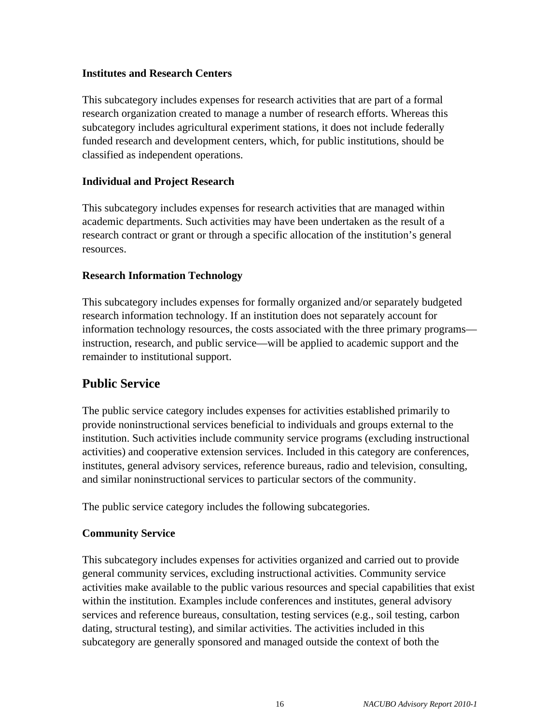#### **Institutes and Research Centers**

This subcategory includes expenses for research activities that are part of a formal research organization created to manage a number of research efforts. Whereas this subcategory includes agricultural experiment stations, it does not include federally funded research and development centers, which, for public institutions, should be classified as independent operations.

#### **Individual and Project Research**

This subcategory includes expenses for research activities that are managed within academic departments. Such activities may have been undertaken as the result of a research contract or grant or through a specific allocation of the institution's general resources.

#### **Research Information Technology**

This subcategory includes expenses for formally organized and/or separately budgeted research information technology. If an institution does not separately account for information technology resources, the costs associated with the three primary programs instruction, research, and public service—will be applied to academic support and the remainder to institutional support.

## **Public Service**

The public service category includes expenses for activities established primarily to provide noninstructional services beneficial to individuals and groups external to the institution. Such activities include community service programs (excluding instructional activities) and cooperative extension services. Included in this category are conferences, institutes, general advisory services, reference bureaus, radio and television, consulting, and similar noninstructional services to particular sectors of the community.

The public service category includes the following subcategories.

#### **Community Service**

This subcategory includes expenses for activities organized and carried out to provide general community services, excluding instructional activities. Community service activities make available to the public various resources and special capabilities that exist within the institution. Examples include conferences and institutes, general advisory services and reference bureaus, consultation, testing services (e.g., soil testing, carbon dating, structural testing), and similar activities. The activities included in this subcategory are generally sponsored and managed outside the context of both the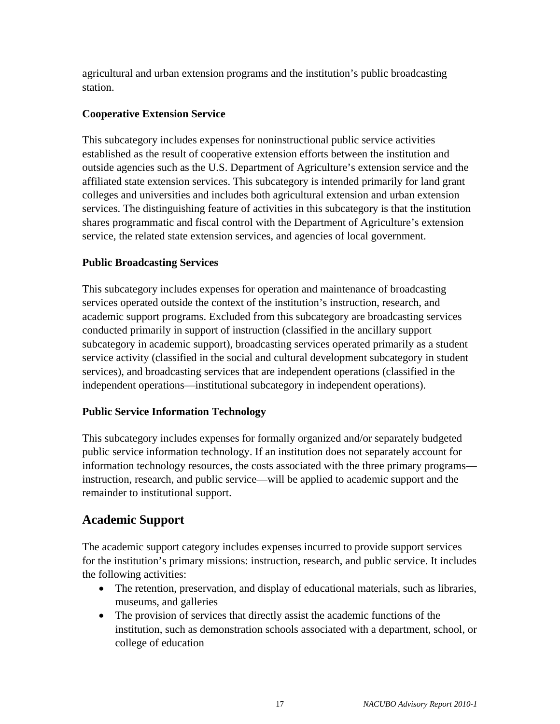agricultural and urban extension programs and the institution's public broadcasting station.

### **Cooperative Extension Service**

This subcategory includes expenses for noninstructional public service activities established as the result of cooperative extension efforts between the institution and outside agencies such as the U.S. Department of Agriculture's extension service and the affiliated state extension services. This subcategory is intended primarily for land grant colleges and universities and includes both agricultural extension and urban extension services. The distinguishing feature of activities in this subcategory is that the institution shares programmatic and fiscal control with the Department of Agriculture's extension service, the related state extension services, and agencies of local government.

### **Public Broadcasting Services**

This subcategory includes expenses for operation and maintenance of broadcasting services operated outside the context of the institution's instruction, research, and academic support programs. Excluded from this subcategory are broadcasting services conducted primarily in support of instruction (classified in the ancillary support subcategory in academic support), broadcasting services operated primarily as a student service activity (classified in the social and cultural development subcategory in student services), and broadcasting services that are independent operations (classified in the independent operations—institutional subcategory in independent operations).

#### **Public Service Information Technology**

This subcategory includes expenses for formally organized and/or separately budgeted public service information technology. If an institution does not separately account for information technology resources, the costs associated with the three primary programs instruction, research, and public service—will be applied to academic support and the remainder to institutional support.

# **Academic Support**

The academic support category includes expenses incurred to provide support services for the institution's primary missions: instruction, research, and public service. It includes the following activities:

- The retention, preservation, and display of educational materials, such as libraries, museums, and galleries
- The provision of services that directly assist the academic functions of the institution, such as demonstration schools associated with a department, school, or college of education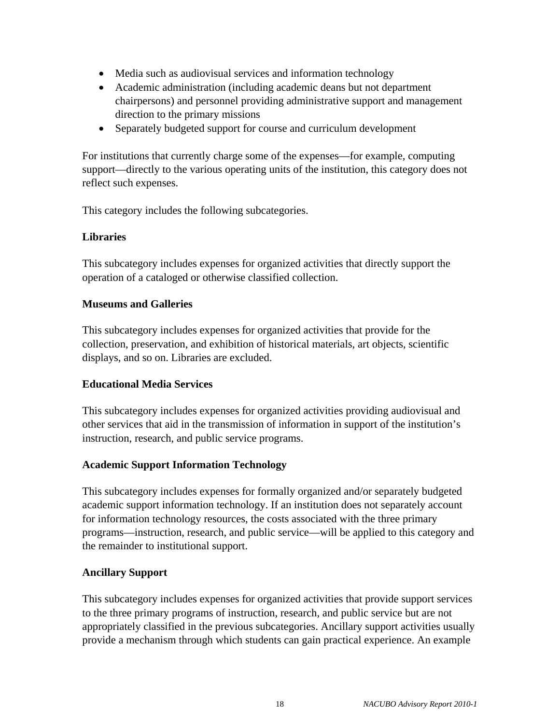- Media such as audiovisual services and information technology
- Academic administration (including academic deans but not department chairpersons) and personnel providing administrative support and management direction to the primary missions
- Separately budgeted support for course and curriculum development

For institutions that currently charge some of the expenses—for example, computing support—directly to the various operating units of the institution, this category does not reflect such expenses.

This category includes the following subcategories.

### **Libraries**

This subcategory includes expenses for organized activities that directly support the operation of a cataloged or otherwise classified collection.

### **Museums and Galleries**

This subcategory includes expenses for organized activities that provide for the collection, preservation, and exhibition of historical materials, art objects, scientific displays, and so on. Libraries are excluded.

## **Educational Media Services**

This subcategory includes expenses for organized activities providing audiovisual and other services that aid in the transmission of information in support of the institution's instruction, research, and public service programs.

## **Academic Support Information Technology**

This subcategory includes expenses for formally organized and/or separately budgeted academic support information technology. If an institution does not separately account for information technology resources, the costs associated with the three primary programs—instruction, research, and public service—will be applied to this category and the remainder to institutional support.

## **Ancillary Support**

This subcategory includes expenses for organized activities that provide support services to the three primary programs of instruction, research, and public service but are not appropriately classified in the previous subcategories. Ancillary support activities usually provide a mechanism through which students can gain practical experience. An example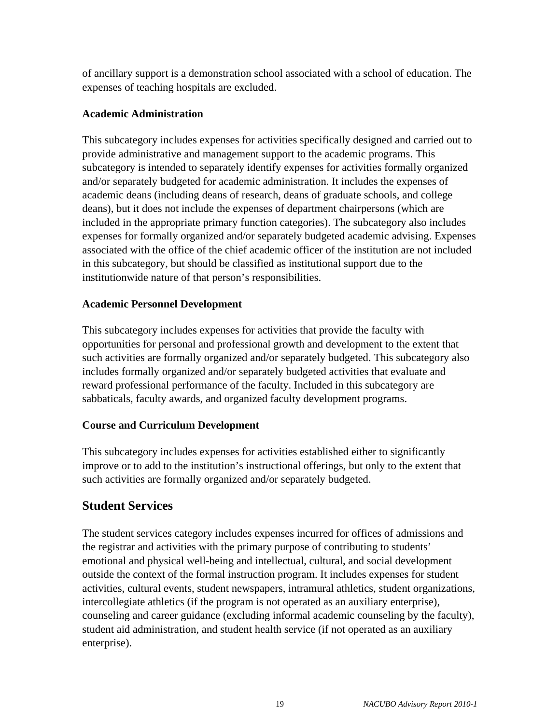of ancillary support is a demonstration school associated with a school of education. The expenses of teaching hospitals are excluded.

#### **Academic Administration**

This subcategory includes expenses for activities specifically designed and carried out to provide administrative and management support to the academic programs. This subcategory is intended to separately identify expenses for activities formally organized and/or separately budgeted for academic administration. It includes the expenses of academic deans (including deans of research, deans of graduate schools, and college deans), but it does not include the expenses of department chairpersons (which are included in the appropriate primary function categories). The subcategory also includes expenses for formally organized and/or separately budgeted academic advising. Expenses associated with the office of the chief academic officer of the institution are not included in this subcategory, but should be classified as institutional support due to the institutionwide nature of that person's responsibilities.

#### **Academic Personnel Development**

This subcategory includes expenses for activities that provide the faculty with opportunities for personal and professional growth and development to the extent that such activities are formally organized and/or separately budgeted. This subcategory also includes formally organized and/or separately budgeted activities that evaluate and reward professional performance of the faculty. Included in this subcategory are sabbaticals, faculty awards, and organized faculty development programs.

#### **Course and Curriculum Development**

This subcategory includes expenses for activities established either to significantly improve or to add to the institution's instructional offerings, but only to the extent that such activities are formally organized and/or separately budgeted.

## **Student Services**

The student services category includes expenses incurred for offices of admissions and the registrar and activities with the primary purpose of contributing to students' emotional and physical well-being and intellectual, cultural, and social development outside the context of the formal instruction program. It includes expenses for student activities, cultural events, student newspapers, intramural athletics, student organizations, intercollegiate athletics (if the program is not operated as an auxiliary enterprise), counseling and career guidance (excluding informal academic counseling by the faculty), student aid administration, and student health service (if not operated as an auxiliary enterprise).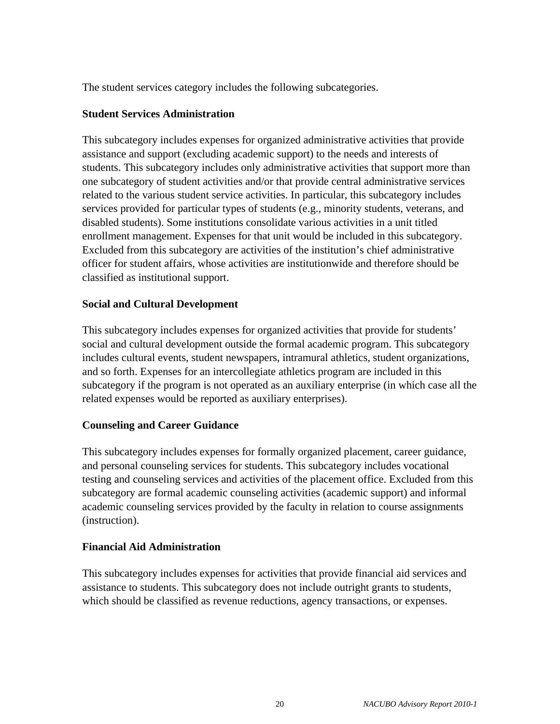The student services category includes the following subcategories.

#### **Student Services Administration**

This subcategory includes expenses for organized administrative activities that provide assistance and support (excluding academic support) to the needs and interests of students. This subcategory includes only administrative activities that support more than one subcategory of student activities and/or that provide central administrative services related to the various student service activities. In particular, this subcategory includes services provided for particular types of students (e.g., minority students, veterans, and disabled students). Some institutions consolidate various activities in a unit titled enrollment management. Expenses for that unit would be included in this subcategory. Excluded from this subcategory are activities of the institution's chief administrative officer for student affairs, whose activities are institutionwide and therefore should be classified as institutional support.

#### **Social and Cultural Development**

This subcategory includes expenses for organized activities that provide for students' social and cultural development outside the formal academic program. This subcategory includes cultural events, student newspapers, intramural athletics, student organizations, and so forth. Expenses for an intercollegiate athletics program are included in this subcategory if the program is not operated as an auxiliary enterprise (in which case all the related expenses would be reported as auxiliary enterprises).

#### **Counseling and Career Guidance**

This subcategory includes expenses for formally organized placement, career guidance, and personal counseling services for students. This subcategory includes vocational testing and counseling services and activities of the placement office. Excluded from this subcategory are formal academic counseling activities (academic support) and informal academic counseling services provided by the faculty in relation to course assignments (instruction).

#### **Financial Aid Administration**

This subcategory includes expenses for activities that provide financial aid services and assistance to students. This subcategory does not include outright grants to students, which should be classified as revenue reductions, agency transactions, or expenses.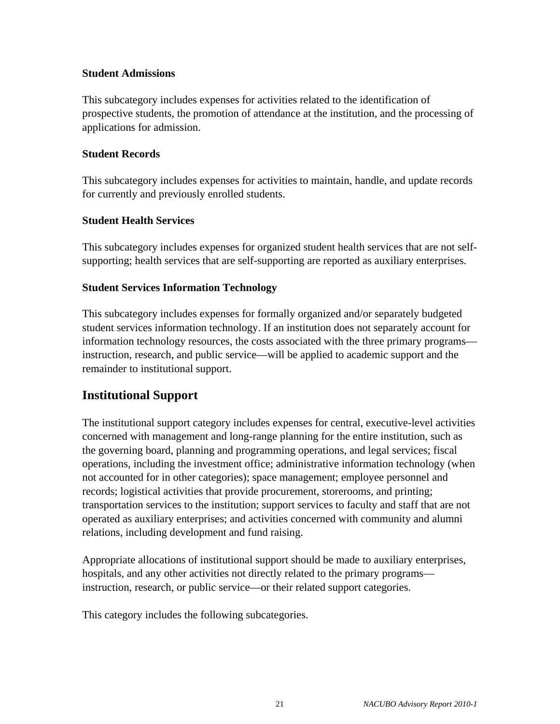#### **Student Admissions**

This subcategory includes expenses for activities related to the identification of prospective students, the promotion of attendance at the institution, and the processing of applications for admission.

#### **Student Records**

This subcategory includes expenses for activities to maintain, handle, and update records for currently and previously enrolled students.

#### **Student Health Services**

This subcategory includes expenses for organized student health services that are not selfsupporting; health services that are self-supporting are reported as auxiliary enterprises.

#### **Student Services Information Technology**

This subcategory includes expenses for formally organized and/or separately budgeted student services information technology. If an institution does not separately account for information technology resources, the costs associated with the three primary programs instruction, research, and public service—will be applied to academic support and the remainder to institutional support.

## **Institutional Support**

The institutional support category includes expenses for central, executive-level activities concerned with management and long-range planning for the entire institution, such as the governing board, planning and programming operations, and legal services; fiscal operations, including the investment office; administrative information technology (when not accounted for in other categories); space management; employee personnel and records; logistical activities that provide procurement, storerooms, and printing; transportation services to the institution; support services to faculty and staff that are not operated as auxiliary enterprises; and activities concerned with community and alumni relations, including development and fund raising.

Appropriate allocations of institutional support should be made to auxiliary enterprises, hospitals, and any other activities not directly related to the primary programs instruction, research, or public service—or their related support categories.

This category includes the following subcategories.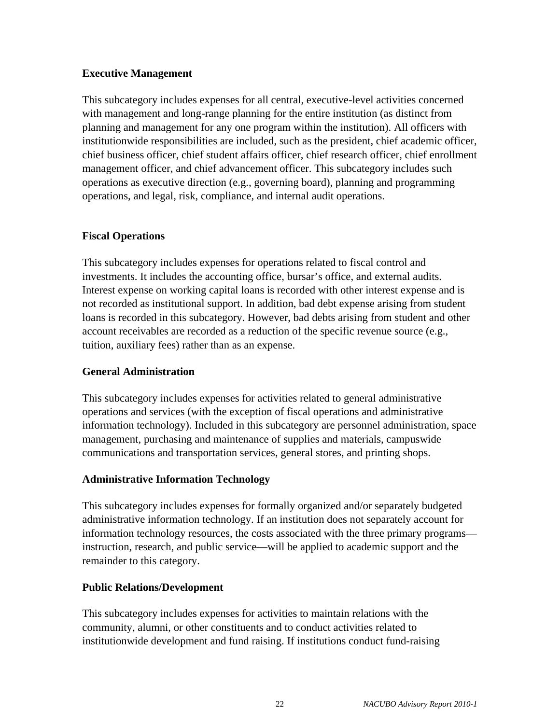#### **Executive Management**

This subcategory includes expenses for all central, executive-level activities concerned with management and long-range planning for the entire institution (as distinct from planning and management for any one program within the institution). All officers with institutionwide responsibilities are included, such as the president, chief academic officer, chief business officer, chief student affairs officer, chief research officer, chief enrollment management officer, and chief advancement officer. This subcategory includes such operations as executive direction (e.g., governing board), planning and programming operations, and legal, risk, compliance, and internal audit operations.

### **Fiscal Operations**

This subcategory includes expenses for operations related to fiscal control and investments. It includes the accounting office, bursar's office, and external audits. Interest expense on working capital loans is recorded with other interest expense and is not recorded as institutional support. In addition, bad debt expense arising from student loans is recorded in this subcategory. However, bad debts arising from student and other account receivables are recorded as a reduction of the specific revenue source (e.g., tuition, auxiliary fees) rather than as an expense.

#### **General Administration**

This subcategory includes expenses for activities related to general administrative operations and services (with the exception of fiscal operations and administrative information technology). Included in this subcategory are personnel administration, space management, purchasing and maintenance of supplies and materials, campuswide communications and transportation services, general stores, and printing shops.

## **Administrative Information Technology**

This subcategory includes expenses for formally organized and/or separately budgeted administrative information technology. If an institution does not separately account for information technology resources, the costs associated with the three primary programs instruction, research, and public service—will be applied to academic support and the remainder to this category.

## **Public Relations/Development**

This subcategory includes expenses for activities to maintain relations with the community, alumni, or other constituents and to conduct activities related to institutionwide development and fund raising. If institutions conduct fund-raising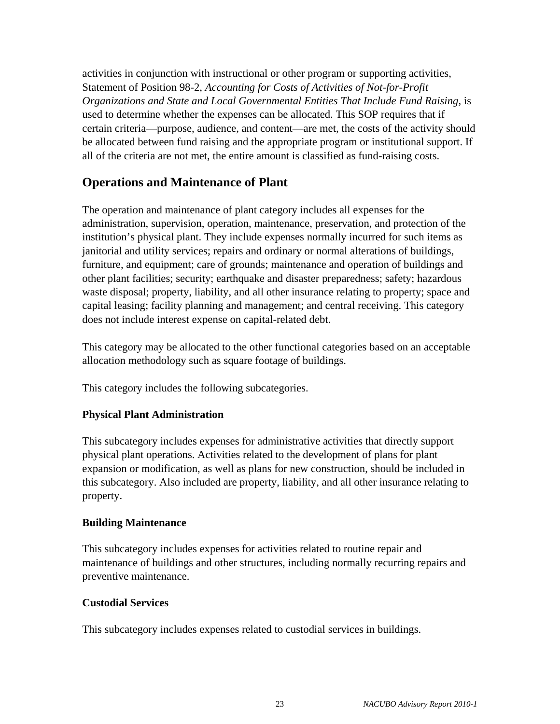activities in conjunction with instructional or other program or supporting activities, Statement of Position 98-2, *Accounting for Costs of Activities of Not-for-Profit Organizations and State and Local Governmental Entities That Include Fund Raising, is* used to determine whether the expenses can be allocated. This SOP requires that if certain criteria—purpose, audience, and content—are met, the costs of the activity should be allocated between fund raising and the appropriate program or institutional support. If all of the criteria are not met, the entire amount is classified as fund-raising costs.

## **Operations and Maintenance of Plant**

The operation and maintenance of plant category includes all expenses for the administration, supervision, operation, maintenance, preservation, and protection of the institution's physical plant. They include expenses normally incurred for such items as janitorial and utility services; repairs and ordinary or normal alterations of buildings, furniture, and equipment; care of grounds; maintenance and operation of buildings and other plant facilities; security; earthquake and disaster preparedness; safety; hazardous waste disposal; property, liability, and all other insurance relating to property; space and capital leasing; facility planning and management; and central receiving. This category does not include interest expense on capital-related debt.

This category may be allocated to the other functional categories based on an acceptable allocation methodology such as square footage of buildings.

This category includes the following subcategories.

## **Physical Plant Administration**

This subcategory includes expenses for administrative activities that directly support physical plant operations. Activities related to the development of plans for plant expansion or modification, as well as plans for new construction, should be included in this subcategory. Also included are property, liability, and all other insurance relating to property.

## **Building Maintenance**

This subcategory includes expenses for activities related to routine repair and maintenance of buildings and other structures, including normally recurring repairs and preventive maintenance.

## **Custodial Services**

This subcategory includes expenses related to custodial services in buildings.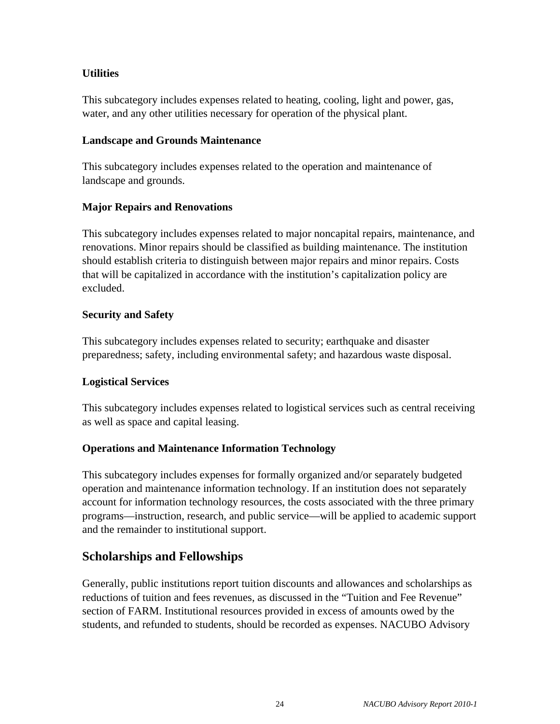### **Utilities**

This subcategory includes expenses related to heating, cooling, light and power, gas, water, and any other utilities necessary for operation of the physical plant.

#### **Landscape and Grounds Maintenance**

This subcategory includes expenses related to the operation and maintenance of landscape and grounds.

#### **Major Repairs and Renovations**

This subcategory includes expenses related to major noncapital repairs, maintenance, and renovations. Minor repairs should be classified as building maintenance. The institution should establish criteria to distinguish between major repairs and minor repairs. Costs that will be capitalized in accordance with the institution's capitalization policy are excluded.

#### **Security and Safety**

This subcategory includes expenses related to security; earthquake and disaster preparedness; safety, including environmental safety; and hazardous waste disposal.

#### **Logistical Services**

This subcategory includes expenses related to logistical services such as central receiving as well as space and capital leasing.

#### **Operations and Maintenance Information Technology**

This subcategory includes expenses for formally organized and/or separately budgeted operation and maintenance information technology. If an institution does not separately account for information technology resources, the costs associated with the three primary programs—instruction, research, and public service—will be applied to academic support and the remainder to institutional support.

## **Scholarships and Fellowships**

Generally, public institutions report tuition discounts and allowances and scholarships as reductions of tuition and fees revenues, as discussed in the "Tuition and Fee Revenue" section of FARM. Institutional resources provided in excess of amounts owed by the students, and refunded to students, should be recorded as expenses. NACUBO Advisory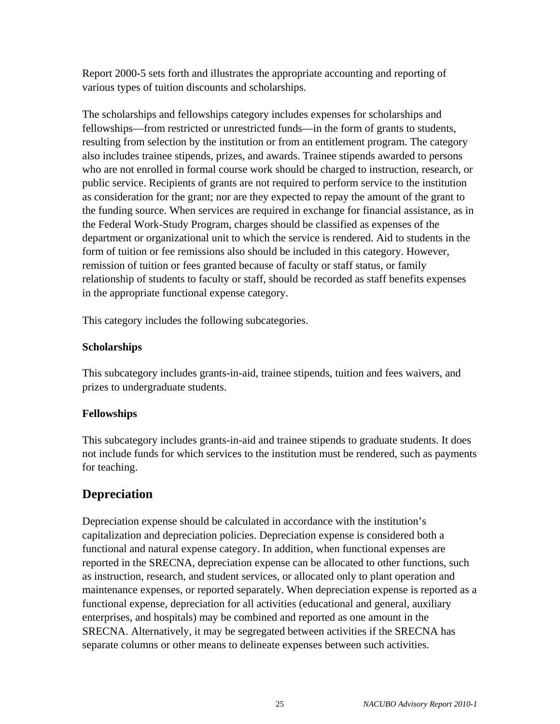Report 2000-5 sets forth and illustrates the appropriate accounting and reporting of various types of tuition discounts and scholarships.

The scholarships and fellowships category includes expenses for scholarships and fellowships—from restricted or unrestricted funds—in the form of grants to students, resulting from selection by the institution or from an entitlement program. The category also includes trainee stipends, prizes, and awards. Trainee stipends awarded to persons who are not enrolled in formal course work should be charged to instruction, research, or public service. Recipients of grants are not required to perform service to the institution as consideration for the grant; nor are they expected to repay the amount of the grant to the funding source. When services are required in exchange for financial assistance, as in the Federal Work-Study Program, charges should be classified as expenses of the department or organizational unit to which the service is rendered. Aid to students in the form of tuition or fee remissions also should be included in this category. However, remission of tuition or fees granted because of faculty or staff status, or family relationship of students to faculty or staff, should be recorded as staff benefits expenses in the appropriate functional expense category.

This category includes the following subcategories.

### **Scholarships**

This subcategory includes grants-in-aid, trainee stipends, tuition and fees waivers, and prizes to undergraduate students.

## **Fellowships**

This subcategory includes grants-in-aid and trainee stipends to graduate students. It does not include funds for which services to the institution must be rendered, such as payments for teaching.

# **Depreciation**

Depreciation expense should be calculated in accordance with the institution's capitalization and depreciation policies. Depreciation expense is considered both a functional and natural expense category. In addition, when functional expenses are reported in the SRECNA, depreciation expense can be allocated to other functions, such as instruction, research, and student services, or allocated only to plant operation and maintenance expenses, or reported separately. When depreciation expense is reported as a functional expense, depreciation for all activities (educational and general, auxiliary enterprises, and hospitals) may be combined and reported as one amount in the SRECNA. Alternatively, it may be segregated between activities if the SRECNA has separate columns or other means to delineate expenses between such activities.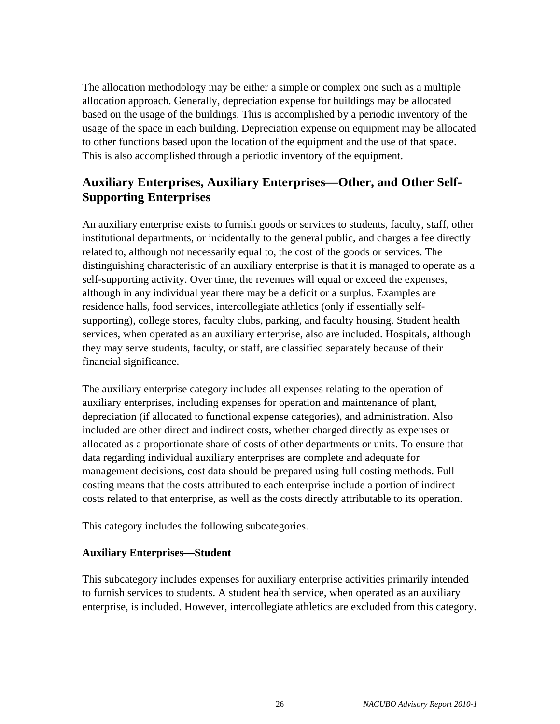The allocation methodology may be either a simple or complex one such as a multiple allocation approach. Generally, depreciation expense for buildings may be allocated based on the usage of the buildings. This is accomplished by a periodic inventory of the usage of the space in each building. Depreciation expense on equipment may be allocated to other functions based upon the location of the equipment and the use of that space. This is also accomplished through a periodic inventory of the equipment.

# **Auxiliary Enterprises, Auxiliary Enterprises—Other, and Other Self-Supporting Enterprises**

An auxiliary enterprise exists to furnish goods or services to students, faculty, staff, other institutional departments, or incidentally to the general public, and charges a fee directly related to, although not necessarily equal to, the cost of the goods or services. The distinguishing characteristic of an auxiliary enterprise is that it is managed to operate as a self-supporting activity. Over time, the revenues will equal or exceed the expenses, although in any individual year there may be a deficit or a surplus. Examples are residence halls, food services, intercollegiate athletics (only if essentially selfsupporting), college stores, faculty clubs, parking, and faculty housing. Student health services, when operated as an auxiliary enterprise, also are included. Hospitals, although they may serve students, faculty, or staff, are classified separately because of their financial significance.

The auxiliary enterprise category includes all expenses relating to the operation of auxiliary enterprises, including expenses for operation and maintenance of plant, depreciation (if allocated to functional expense categories), and administration. Also included are other direct and indirect costs, whether charged directly as expenses or allocated as a proportionate share of costs of other departments or units. To ensure that data regarding individual auxiliary enterprises are complete and adequate for management decisions, cost data should be prepared using full costing methods. Full costing means that the costs attributed to each enterprise include a portion of indirect costs related to that enterprise, as well as the costs directly attributable to its operation.

This category includes the following subcategories.

#### **Auxiliary Enterprises—Student**

This subcategory includes expenses for auxiliary enterprise activities primarily intended to furnish services to students. A student health service, when operated as an auxiliary enterprise, is included. However, intercollegiate athletics are excluded from this category.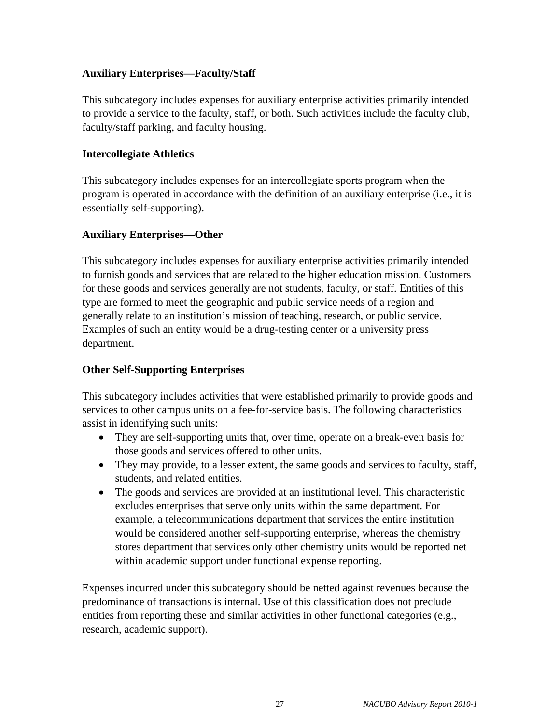#### **Auxiliary Enterprises—Faculty/Staff**

This subcategory includes expenses for auxiliary enterprise activities primarily intended to provide a service to the faculty, staff, or both. Such activities include the faculty club, faculty/staff parking, and faculty housing.

#### **Intercollegiate Athletics**

This subcategory includes expenses for an intercollegiate sports program when the program is operated in accordance with the definition of an auxiliary enterprise (i.e., it is essentially self-supporting).

#### **Auxiliary Enterprises—Other**

This subcategory includes expenses for auxiliary enterprise activities primarily intended to furnish goods and services that are related to the higher education mission. Customers for these goods and services generally are not students, faculty, or staff. Entities of this type are formed to meet the geographic and public service needs of a region and generally relate to an institution's mission of teaching, research, or public service. Examples of such an entity would be a drug-testing center or a university press department.

#### **Other Self-Supporting Enterprises**

This subcategory includes activities that were established primarily to provide goods and services to other campus units on a fee-for-service basis. The following characteristics assist in identifying such units:

- They are self-supporting units that, over time, operate on a break-even basis for those goods and services offered to other units.
- They may provide, to a lesser extent, the same goods and services to faculty, staff, students, and related entities.
- The goods and services are provided at an institutional level. This characteristic excludes enterprises that serve only units within the same department. For example, a telecommunications department that services the entire institution would be considered another self-supporting enterprise, whereas the chemistry stores department that services only other chemistry units would be reported net within academic support under functional expense reporting.

Expenses incurred under this subcategory should be netted against revenues because the predominance of transactions is internal. Use of this classification does not preclude entities from reporting these and similar activities in other functional categories (e.g., research, academic support).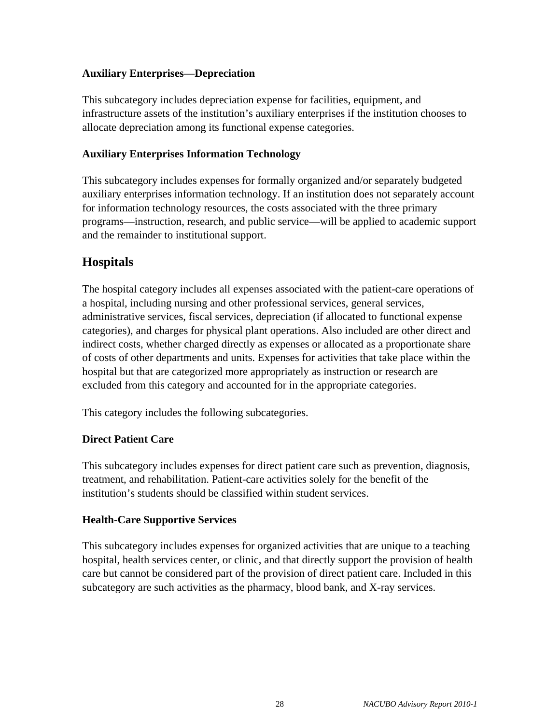#### **Auxiliary Enterprises—Depreciation**

This subcategory includes depreciation expense for facilities, equipment, and infrastructure assets of the institution's auxiliary enterprises if the institution chooses to allocate depreciation among its functional expense categories.

#### **Auxiliary Enterprises Information Technology**

This subcategory includes expenses for formally organized and/or separately budgeted auxiliary enterprises information technology. If an institution does not separately account for information technology resources, the costs associated with the three primary programs—instruction, research, and public service—will be applied to academic support and the remainder to institutional support.

## **Hospitals**

The hospital category includes all expenses associated with the patient-care operations of a hospital, including nursing and other professional services, general services, administrative services, fiscal services, depreciation (if allocated to functional expense categories), and charges for physical plant operations. Also included are other direct and indirect costs, whether charged directly as expenses or allocated as a proportionate share of costs of other departments and units. Expenses for activities that take place within the hospital but that are categorized more appropriately as instruction or research are excluded from this category and accounted for in the appropriate categories.

This category includes the following subcategories.

#### **Direct Patient Care**

This subcategory includes expenses for direct patient care such as prevention, diagnosis, treatment, and rehabilitation. Patient-care activities solely for the benefit of the institution's students should be classified within student services.

#### **Health-Care Supportive Services**

This subcategory includes expenses for organized activities that are unique to a teaching hospital, health services center, or clinic, and that directly support the provision of health care but cannot be considered part of the provision of direct patient care. Included in this subcategory are such activities as the pharmacy, blood bank, and X-ray services.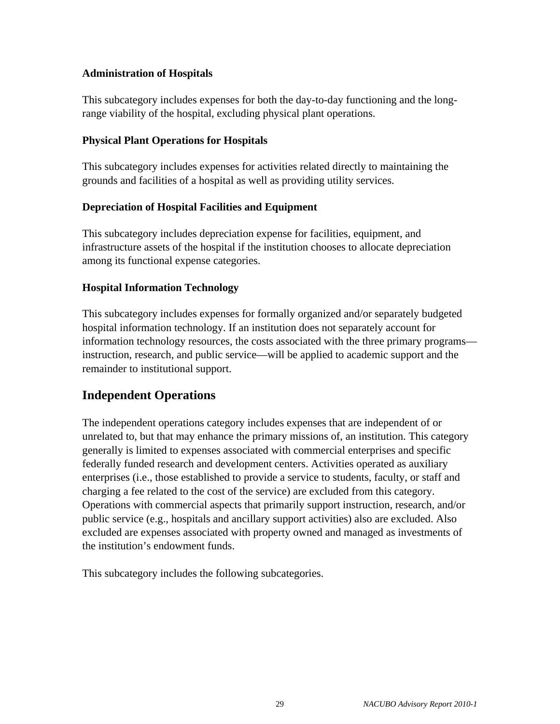#### **Administration of Hospitals**

This subcategory includes expenses for both the day-to-day functioning and the longrange viability of the hospital, excluding physical plant operations.

#### **Physical Plant Operations for Hospitals**

This subcategory includes expenses for activities related directly to maintaining the grounds and facilities of a hospital as well as providing utility services.

## **Depreciation of Hospital Facilities and Equipment**

This subcategory includes depreciation expense for facilities, equipment, and infrastructure assets of the hospital if the institution chooses to allocate depreciation among its functional expense categories.

#### **Hospital Information Technology**

This subcategory includes expenses for formally organized and/or separately budgeted hospital information technology. If an institution does not separately account for information technology resources, the costs associated with the three primary programs instruction, research, and public service—will be applied to academic support and the remainder to institutional support.

# **Independent Operations**

The independent operations category includes expenses that are independent of or unrelated to, but that may enhance the primary missions of, an institution. This category generally is limited to expenses associated with commercial enterprises and specific federally funded research and development centers. Activities operated as auxiliary enterprises (i.e., those established to provide a service to students, faculty, or staff and charging a fee related to the cost of the service) are excluded from this category. Operations with commercial aspects that primarily support instruction, research, and/or public service (e.g., hospitals and ancillary support activities) also are excluded. Also excluded are expenses associated with property owned and managed as investments of the institution's endowment funds.

This subcategory includes the following subcategories.